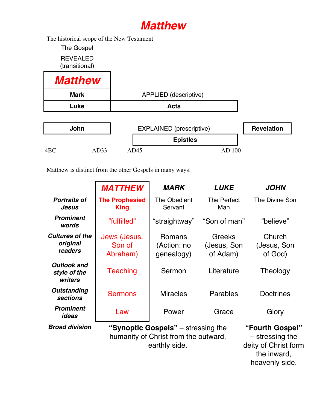## *Matthew*

The historical scope of the New Testament

The Gospel REVEALED (transitional)

| <b>Matthew</b> |                       |
|----------------|-----------------------|
| <b>Mark</b>    | APPLIED (descriptive) |
| Luke           | <b>Acts</b>           |

| John |      | EXPLAINED (prescriptive) |  |  |
|------|------|--------------------------|--|--|
|      |      | <b>Epistles</b>          |  |  |
| AD33 | AD45 | AD 100                   |  |  |

Matthew is distinct from the other Gospels in many ways.

|                                               | <b>MATTHEW</b>                       | <b>MARK</b>                                                                                 | <b>LUKE</b>                              | <b>JOHN</b>                                                                 |
|-----------------------------------------------|--------------------------------------|---------------------------------------------------------------------------------------------|------------------------------------------|-----------------------------------------------------------------------------|
| <b>Portraits of</b><br>Jesus                  | <b>The Prophesied</b><br><b>King</b> | The Obedient<br>Servant                                                                     | The Perfect<br>Man                       | The Divine Son                                                              |
| <b>Prominent</b><br>words                     | "fulfilled"                          | "straightway"                                                                               | "Son of man"                             | "believe"                                                                   |
| <b>Cultures of the</b><br>original<br>readers | Jews (Jesus,<br>Son of<br>Abraham)   | Romans<br>(Action: no<br>genealogy)                                                         | <b>Greeks</b><br>(Jesus, Son<br>of Adam) | Church<br>(Jesus, Son<br>of God)                                            |
| <b>Outlook and</b><br>style of the<br>writers | <b>Teaching</b>                      | Sermon                                                                                      | Literature                               | Theology                                                                    |
| <b>Outstanding</b><br>sections                | <b>Sermons</b>                       | <b>Miracles</b>                                                                             | Parables                                 | <b>Doctrines</b>                                                            |
| <b>Prominent</b><br>ideas                     | Law                                  | Power                                                                                       | Grace                                    | Glory                                                                       |
| <b>Broad division</b>                         |                                      | "Synoptic Gospels" – stressing the<br>humanity of Christ from the outward,<br>earthly side. |                                          | "Fourth Gospel"<br>$-$ stressing the<br>deity of Christ form<br>the inward, |

heavenly side.